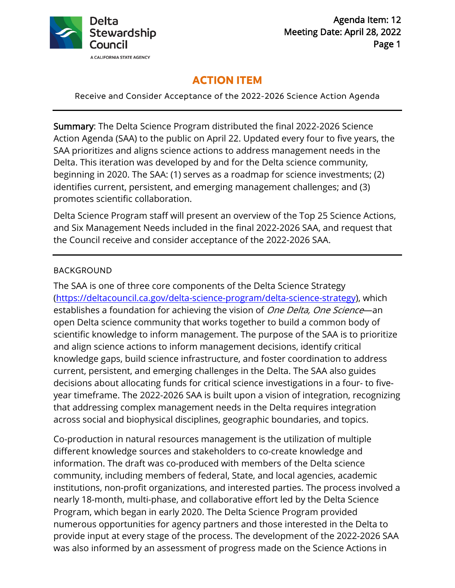

# **ACTION ITEM**

Receive and Consider Acceptance of the 2022-2026 Science Action Agenda

 beginning in 2020. The SAA: (1) serves as a roadmap for science investments; (2) Summary: The Delta Science Program distributed the final 2022-2026 Science Action Agenda (SAA) to the public on April 22. Updated every four to five years, the SAA prioritizes and aligns science actions to address management needs in the Delta. This iteration was developed by and for the Delta science community, identifies current, persistent, and emerging management challenges; and (3) promotes scientific collaboration.

Delta Science Program staff will present an overview of the Top 25 Science Actions, and Six Management Needs included in the final 2022-2026 SAA, and request that the Council receive and consider acceptance of the 2022-2026 SAA.

### BACKGROUND

The SAA is one of three core components of the Delta Science Strategy [\(https://deltacouncil.ca.gov/delta-science-program/delta-science-strategy\),](https://deltacouncil.ca.gov/delta-science-program/delta-science-strategy) which establishes a foundation for achieving the vision of One Delta, One Science—an open Delta science community that works together to build a common body of scientific knowledge to inform management. The purpose of the SAA is to prioritize and align science actions to inform management decisions, identify critical knowledge gaps, build science infrastructure, and foster coordination to address current, persistent, and emerging challenges in the Delta. The SAA also guides decisions about allocating funds for critical science investigations in a four- to fiveyear timeframe. The 2022-2026 SAA is built upon a vision of integration, recognizing that addressing complex management needs in the Delta requires integration across social and biophysical disciplines, geographic boundaries, and topics.

Co-production in natural resources management is the utilization of multiple different knowledge sources and stakeholders to co-create knowledge and information. The draft was co-produced with members of the Delta science community, including members of federal, State, and local agencies, academic institutions, non-profit organizations, and interested parties. The process involved a nearly 18-month, multi-phase, and collaborative effort led by the Delta Science Program, which began in early 2020. The Delta Science Program provided numerous opportunities for agency partners and those interested in the Delta to provide input at every stage of the process. The development of the 2022-2026 SAA was also informed by an assessment of progress made on the Science Actions in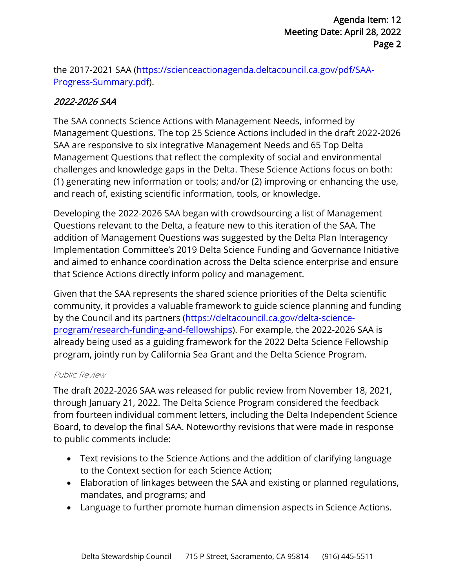[the 2017-2021 SAA \(https://scienceactionagenda.deltacouncil.ca.gov/pdf/SAA-](https://scienceactionagenda.deltacouncil.ca.gov/pdf/SAA)Progress-Summary.pdf).

## 2022-2026 SAA

and reach of, existing scientific information, tools, or knowledge. The SAA connects Science Actions with Management Needs, informed by Management Questions. The top 25 Science Actions included in the draft 2022-2026 SAA are responsive to six integrative Management Needs and 65 Top Delta Management Questions that reflect the complexity of social and environmental challenges and knowledge gaps in the Delta. These Science Actions focus on both: (1) generating new information or tools; and/or (2) improving or enhancing the use,

Developing the 2022-2026 SAA began with crowdsourcing a list of Management Questions relevant to the Delta, a feature new to this iteration of the SAA. The addition of Management Questions was suggested by the Delta Plan Interagency Implementation Committee's 2019 Delta Science Funding and Governance Initiative and aimed to enhance coordination across the Delta science enterprise and ensure that Science Actions directly inform policy and management.

Given that the SAA represents the shared science priorities of the Delta scientific community, it provides a valuable framework to guide science planning and funding by the Council and its partners (https://deltacouncil.ca.gov/delta-science[program/research-funding-and-fellowships\). For example, the 2022-2026 S](https://deltacouncil.ca.gov/delta-science)AA is already being used as a guiding framework for the 2022 Delta Science Fellowship program, jointly run by California Sea Grant and the Delta Science Program.

### Public Review

 to public comments include: The draft 2022-2026 SAA was released for public review from November 18, 2021, through January 21, 2022. The Delta Science Program considered the feedback from fourteen individual comment letters, including the Delta Independent Science Board, to develop the final SAA. Noteworthy revisions that were made in response

- Text revisions to the Science Actions and the addition of clarifying language to the Context section for each Science Action;
- Elaboration of linkages between the SAA and existing or planned regulations, mandates, and programs; and
- Language to further promote human dimension aspects in Science Actions.